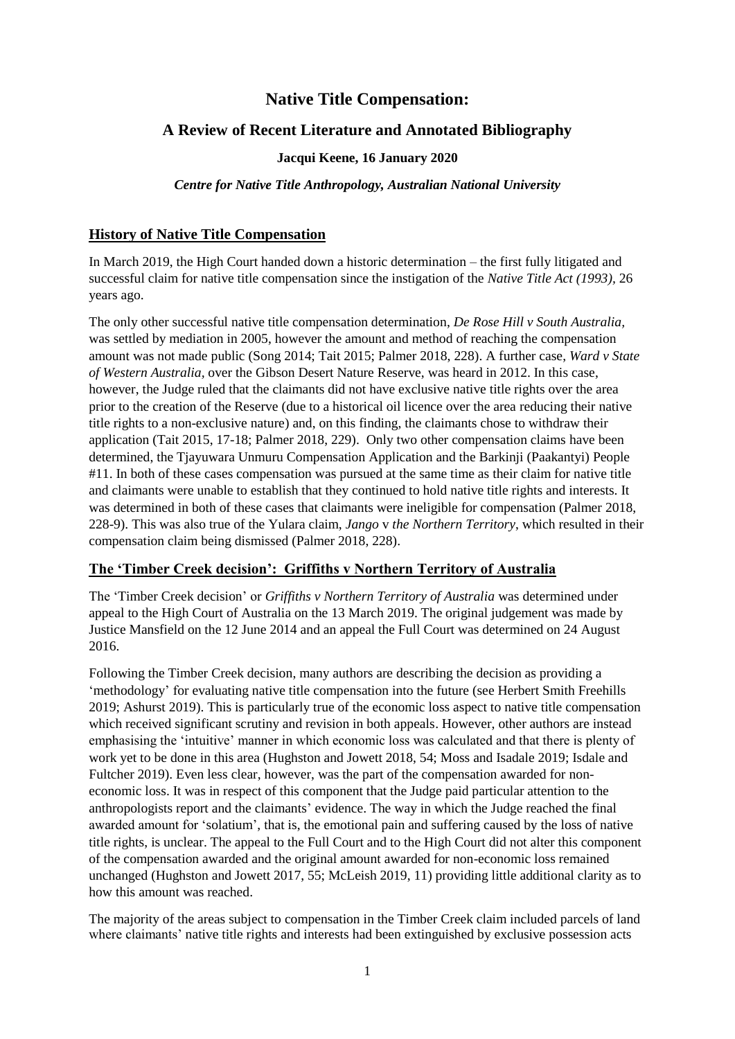# **Native Title Compensation:**

## **A Review of Recent Literature and Annotated Bibliography**

#### **Jacqui Keene, 16 January 2020**

#### *Centre for Native Title Anthropology, Australian National University*

#### **History of Native Title Compensation**

In March 2019, the High Court handed down a historic determination – the first fully litigated and successful claim for native title compensation since the instigation of the *Native Title Act (1993),* 26 years ago.

The only other successful native title compensation determination, *De Rose Hill v South Australia,*  was settled by mediation in 2005, however the amount and method of reaching the compensation amount was not made public (Song 2014; Tait 2015; Palmer 2018, 228). A further case, *Ward v State of Western Australia,* over the Gibson Desert Nature Reserve, was heard in 2012. In this case, however, the Judge ruled that the claimants did not have exclusive native title rights over the area prior to the creation of the Reserve (due to a historical oil licence over the area reducing their native title rights to a non-exclusive nature) and, on this finding, the claimants chose to withdraw their application (Tait 2015, 17-18; Palmer 2018, 229). Only two other compensation claims have been determined, the Tjayuwara Unmuru Compensation Application and the Barkinji (Paakantyi) People #11. In both of these cases compensation was pursued at the same time as their claim for native title and claimants were unable to establish that they continued to hold native title rights and interests. It was determined in both of these cases that claimants were ineligible for compensation (Palmer 2018, 228-9). This was also true of the Yulara claim, *Jango* v *the Northern Territory*, which resulted in their compensation claim being dismissed (Palmer 2018, 228).

### **The 'Timber Creek decision': Griffiths v Northern Territory of Australia**

The 'Timber Creek decision' or *Griffiths v Northern Territory of Australia* was determined under appeal to the High Court of Australia on the 13 March 2019. The original judgement was made by Justice Mansfield on the 12 June 2014 and an appeal the Full Court was determined on 24 August 2016.

Following the Timber Creek decision, many authors are describing the decision as providing a 'methodology' for evaluating native title compensation into the future (see Herbert Smith Freehills 2019; Ashurst 2019). This is particularly true of the economic loss aspect to native title compensation which received significant scrutiny and revision in both appeals. However, other authors are instead emphasising the 'intuitive' manner in which economic loss was calculated and that there is plenty of work yet to be done in this area (Hughston and Jowett 2018, 54; Moss and Isadale 2019; Isdale and Fultcher 2019). Even less clear, however, was the part of the compensation awarded for noneconomic loss. It was in respect of this component that the Judge paid particular attention to the anthropologists report and the claimants' evidence. The way in which the Judge reached the final awarded amount for 'solatium', that is, the emotional pain and suffering caused by the loss of native title rights, is unclear. The appeal to the Full Court and to the High Court did not alter this component of the compensation awarded and the original amount awarded for non-economic loss remained unchanged (Hughston and Jowett 2017, 55; McLeish 2019, 11) providing little additional clarity as to how this amount was reached.

The majority of the areas subject to compensation in the Timber Creek claim included parcels of land where claimants' native title rights and interests had been extinguished by exclusive possession acts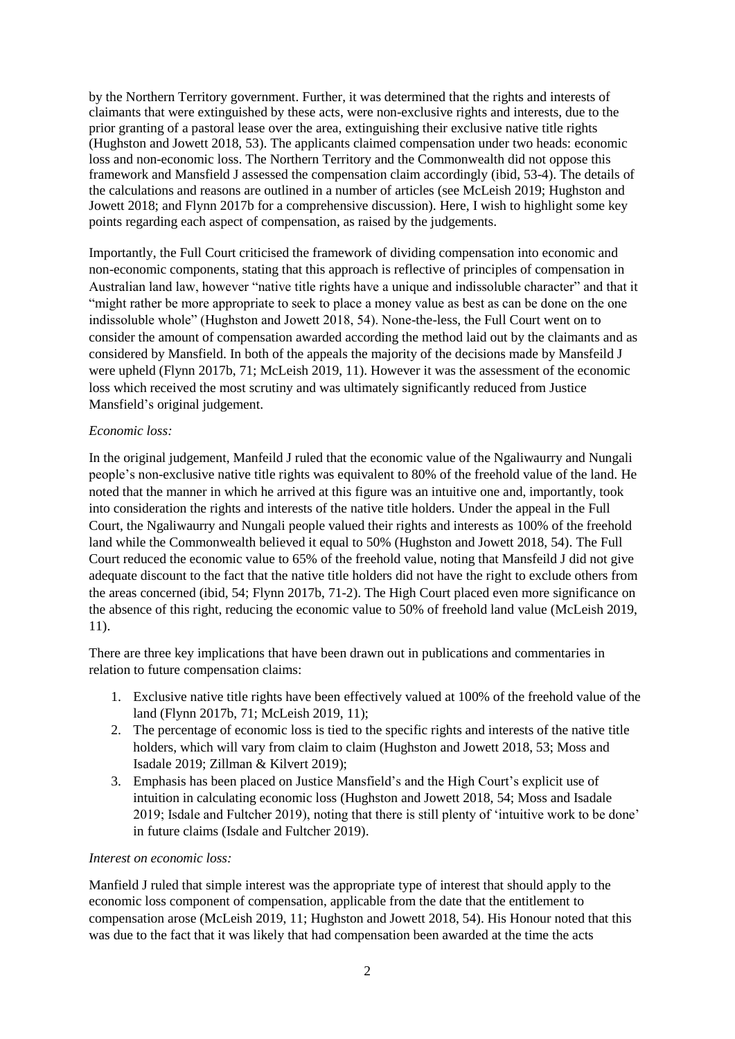by the Northern Territory government. Further, it was determined that the rights and interests of claimants that were extinguished by these acts, were non-exclusive rights and interests, due to the prior granting of a pastoral lease over the area, extinguishing their exclusive native title rights (Hughston and Jowett 2018, 53). The applicants claimed compensation under two heads: economic loss and non-economic loss. The Northern Territory and the Commonwealth did not oppose this framework and Mansfield J assessed the compensation claim accordingly (ibid, 53-4). The details of the calculations and reasons are outlined in a number of articles (see McLeish 2019; Hughston and Jowett 2018; and Flynn 2017b for a comprehensive discussion). Here, I wish to highlight some key points regarding each aspect of compensation, as raised by the judgements.

Importantly, the Full Court criticised the framework of dividing compensation into economic and non-economic components, stating that this approach is reflective of principles of compensation in Australian land law, however "native title rights have a unique and indissoluble character" and that it "might rather be more appropriate to seek to place a money value as best as can be done on the one indissoluble whole" (Hughston and Jowett 2018, 54). None-the-less, the Full Court went on to consider the amount of compensation awarded according the method laid out by the claimants and as considered by Mansfield. In both of the appeals the majority of the decisions made by Mansfeild J were upheld (Flynn 2017b, 71; McLeish 2019, 11). However it was the assessment of the economic loss which received the most scrutiny and was ultimately significantly reduced from Justice Mansfield's original judgement.

### *Economic loss:*

In the original judgement, Manfeild J ruled that the economic value of the Ngaliwaurry and Nungali people's non-exclusive native title rights was equivalent to 80% of the freehold value of the land. He noted that the manner in which he arrived at this figure was an intuitive one and, importantly, took into consideration the rights and interests of the native title holders. Under the appeal in the Full Court, the Ngaliwaurry and Nungali people valued their rights and interests as 100% of the freehold land while the Commonwealth believed it equal to 50% (Hughston and Jowett 2018, 54). The Full Court reduced the economic value to 65% of the freehold value, noting that Mansfeild J did not give adequate discount to the fact that the native title holders did not have the right to exclude others from the areas concerned (ibid, 54; Flynn 2017b, 71-2). The High Court placed even more significance on the absence of this right, reducing the economic value to 50% of freehold land value (McLeish 2019, 11).

There are three key implications that have been drawn out in publications and commentaries in relation to future compensation claims:

- 1. Exclusive native title rights have been effectively valued at 100% of the freehold value of the land (Flynn 2017b, 71; McLeish 2019, 11);
- 2. The percentage of economic loss is tied to the specific rights and interests of the native title holders, which will vary from claim to claim (Hughston and Jowett 2018, 53; Moss and Isadale 2019; Zillman & Kilvert 2019);
- 3. Emphasis has been placed on Justice Mansfield's and the High Court's explicit use of intuition in calculating economic loss (Hughston and Jowett 2018, 54; Moss and Isadale 2019; Isdale and Fultcher 2019), noting that there is still plenty of 'intuitive work to be done' in future claims (Isdale and Fultcher 2019).

#### *Interest on economic loss:*

Manfield J ruled that simple interest was the appropriate type of interest that should apply to the economic loss component of compensation, applicable from the date that the entitlement to compensation arose (McLeish 2019, 11; Hughston and Jowett 2018, 54). His Honour noted that this was due to the fact that it was likely that had compensation been awarded at the time the acts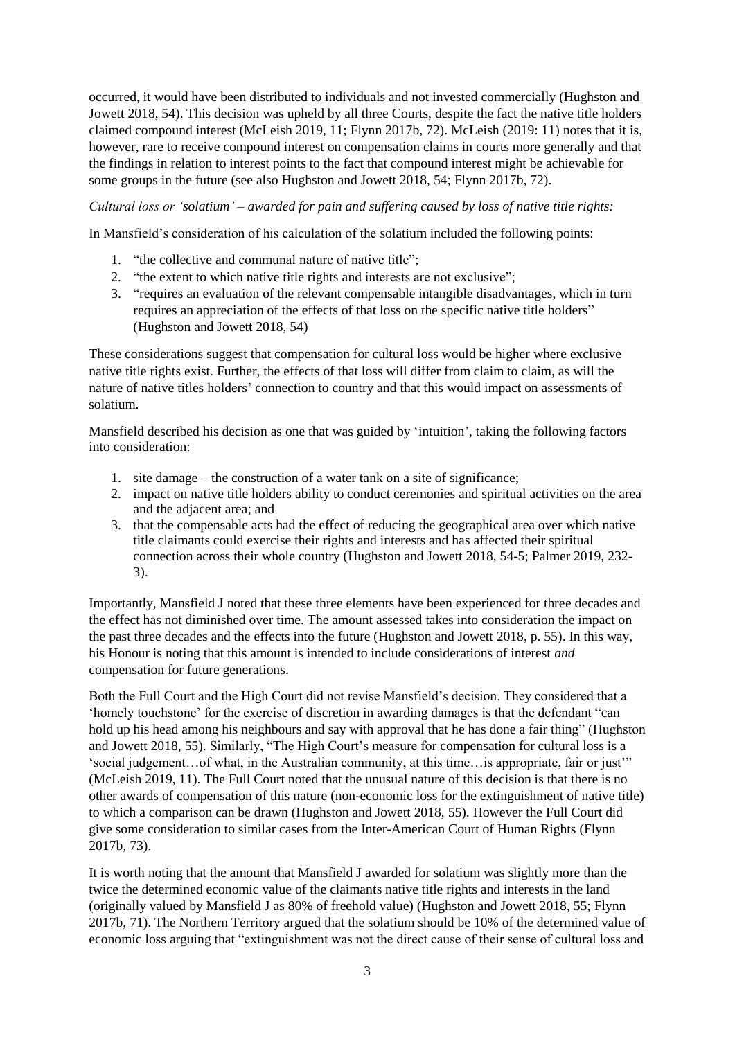occurred, it would have been distributed to individuals and not invested commercially (Hughston and Jowett 2018, 54). This decision was upheld by all three Courts, despite the fact the native title holders claimed compound interest (McLeish 2019, 11; Flynn 2017b, 72). McLeish (2019: 11) notes that it is, however, rare to receive compound interest on compensation claims in courts more generally and that the findings in relation to interest points to the fact that compound interest might be achievable for some groups in the future (see also Hughston and Jowett 2018, 54; Flynn 2017b, 72).

#### *Cultural loss or 'solatium' – awarded for pain and suffering caused by loss of native title rights:*

In Mansfield's consideration of his calculation of the solatium included the following points:

- 1. "the collective and communal nature of native title";
- 2. "the extent to which native title rights and interests are not exclusive";
- 3. "requires an evaluation of the relevant compensable intangible disadvantages, which in turn requires an appreciation of the effects of that loss on the specific native title holders" (Hughston and Jowett 2018, 54)

These considerations suggest that compensation for cultural loss would be higher where exclusive native title rights exist. Further, the effects of that loss will differ from claim to claim, as will the nature of native titles holders' connection to country and that this would impact on assessments of solatium.

Mansfield described his decision as one that was guided by 'intuition', taking the following factors into consideration:

- 1. site damage the construction of a water tank on a site of significance;
- 2. impact on native title holders ability to conduct ceremonies and spiritual activities on the area and the adjacent area; and
- 3. that the compensable acts had the effect of reducing the geographical area over which native title claimants could exercise their rights and interests and has affected their spiritual connection across their whole country (Hughston and Jowett 2018, 54-5; Palmer 2019, 232- 3).

Importantly, Mansfield J noted that these three elements have been experienced for three decades and the effect has not diminished over time. The amount assessed takes into consideration the impact on the past three decades and the effects into the future (Hughston and Jowett 2018, p. 55). In this way, his Honour is noting that this amount is intended to include considerations of interest *and*  compensation for future generations.

Both the Full Court and the High Court did not revise Mansfield's decision. They considered that a 'homely touchstone' for the exercise of discretion in awarding damages is that the defendant "can hold up his head among his neighbours and say with approval that he has done a fair thing" (Hughston and Jowett 2018, 55). Similarly, "The High Court's measure for compensation for cultural loss is a 'social judgement…of what, in the Australian community, at this time…is appropriate, fair or just'" (McLeish 2019, 11). The Full Court noted that the unusual nature of this decision is that there is no other awards of compensation of this nature (non-economic loss for the extinguishment of native title) to which a comparison can be drawn (Hughston and Jowett 2018, 55). However the Full Court did give some consideration to similar cases from the Inter-American Court of Human Rights (Flynn 2017b, 73).

It is worth noting that the amount that Mansfield J awarded for solatium was slightly more than the twice the determined economic value of the claimants native title rights and interests in the land (originally valued by Mansfield J as 80% of freehold value) (Hughston and Jowett 2018, 55; Flynn 2017b, 71). The Northern Territory argued that the solatium should be 10% of the determined value of economic loss arguing that "extinguishment was not the direct cause of their sense of cultural loss and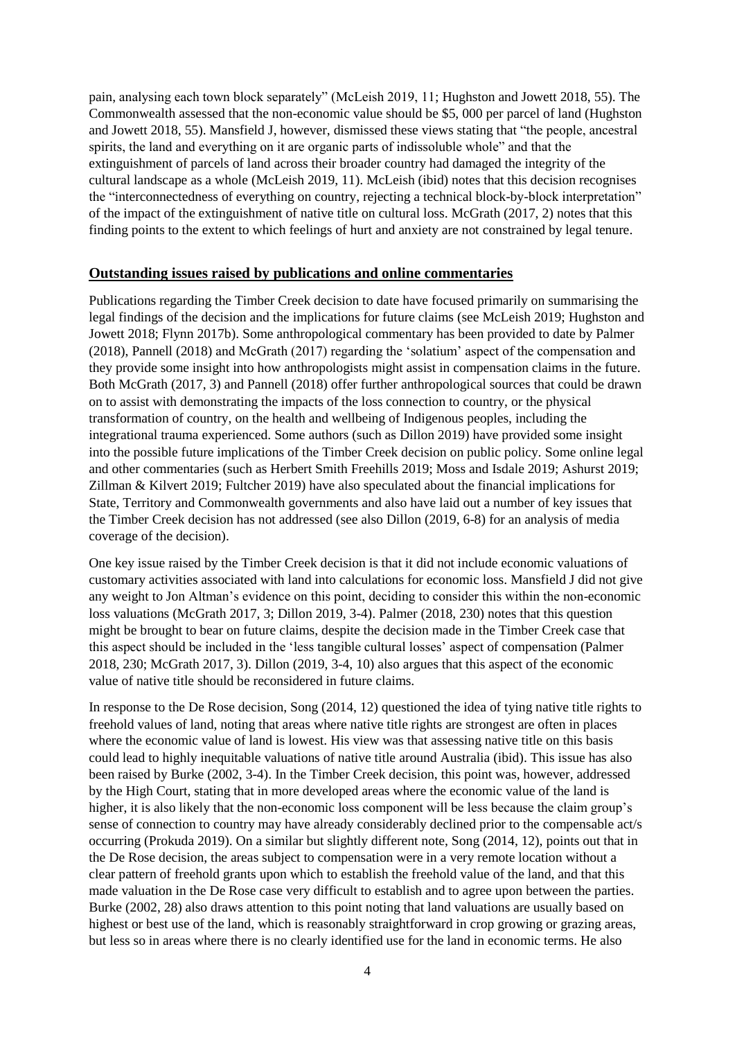pain, analysing each town block separately" (McLeish 2019, 11; Hughston and Jowett 2018, 55). The Commonwealth assessed that the non-economic value should be \$5, 000 per parcel of land (Hughston and Jowett 2018, 55). Mansfield J, however, dismissed these views stating that "the people, ancestral spirits, the land and everything on it are organic parts of indissoluble whole" and that the extinguishment of parcels of land across their broader country had damaged the integrity of the cultural landscape as a whole (McLeish 2019, 11). McLeish (ibid) notes that this decision recognises the "interconnectedness of everything on country, rejecting a technical block-by-block interpretation" of the impact of the extinguishment of native title on cultural loss. McGrath (2017, 2) notes that this finding points to the extent to which feelings of hurt and anxiety are not constrained by legal tenure.

#### **Outstanding issues raised by publications and online commentaries**

Publications regarding the Timber Creek decision to date have focused primarily on summarising the legal findings of the decision and the implications for future claims (see McLeish 2019; Hughston and Jowett 2018; Flynn 2017b). Some anthropological commentary has been provided to date by Palmer (2018), Pannell (2018) and McGrath (2017) regarding the 'solatium' aspect of the compensation and they provide some insight into how anthropologists might assist in compensation claims in the future. Both McGrath (2017, 3) and Pannell (2018) offer further anthropological sources that could be drawn on to assist with demonstrating the impacts of the loss connection to country, or the physical transformation of country, on the health and wellbeing of Indigenous peoples, including the integrational trauma experienced. Some authors (such as Dillon 2019) have provided some insight into the possible future implications of the Timber Creek decision on public policy. Some online legal and other commentaries (such as Herbert Smith Freehills 2019; Moss and Isdale 2019; Ashurst 2019; Zillman & Kilvert 2019; Fultcher 2019) have also speculated about the financial implications for State, Territory and Commonwealth governments and also have laid out a number of key issues that the Timber Creek decision has not addressed (see also Dillon (2019, 6-8) for an analysis of media coverage of the decision).

One key issue raised by the Timber Creek decision is that it did not include economic valuations of customary activities associated with land into calculations for economic loss. Mansfield J did not give any weight to Jon Altman's evidence on this point, deciding to consider this within the non-economic loss valuations (McGrath 2017, 3; Dillon 2019, 3-4). Palmer (2018, 230) notes that this question might be brought to bear on future claims, despite the decision made in the Timber Creek case that this aspect should be included in the 'less tangible cultural losses' aspect of compensation (Palmer 2018, 230; McGrath 2017, 3). Dillon (2019, 3-4, 10) also argues that this aspect of the economic value of native title should be reconsidered in future claims.

In response to the De Rose decision, Song (2014, 12) questioned the idea of tying native title rights to freehold values of land, noting that areas where native title rights are strongest are often in places where the economic value of land is lowest. His view was that assessing native title on this basis could lead to highly inequitable valuations of native title around Australia (ibid). This issue has also been raised by Burke (2002, 3-4). In the Timber Creek decision, this point was, however, addressed by the High Court, stating that in more developed areas where the economic value of the land is higher, it is also likely that the non-economic loss component will be less because the claim group's sense of connection to country may have already considerably declined prior to the compensable act/s occurring (Prokuda 2019). On a similar but slightly different note, Song (2014, 12), points out that in the De Rose decision, the areas subject to compensation were in a very remote location without a clear pattern of freehold grants upon which to establish the freehold value of the land, and that this made valuation in the De Rose case very difficult to establish and to agree upon between the parties. Burke (2002, 28) also draws attention to this point noting that land valuations are usually based on highest or best use of the land, which is reasonably straightforward in crop growing or grazing areas, but less so in areas where there is no clearly identified use for the land in economic terms. He also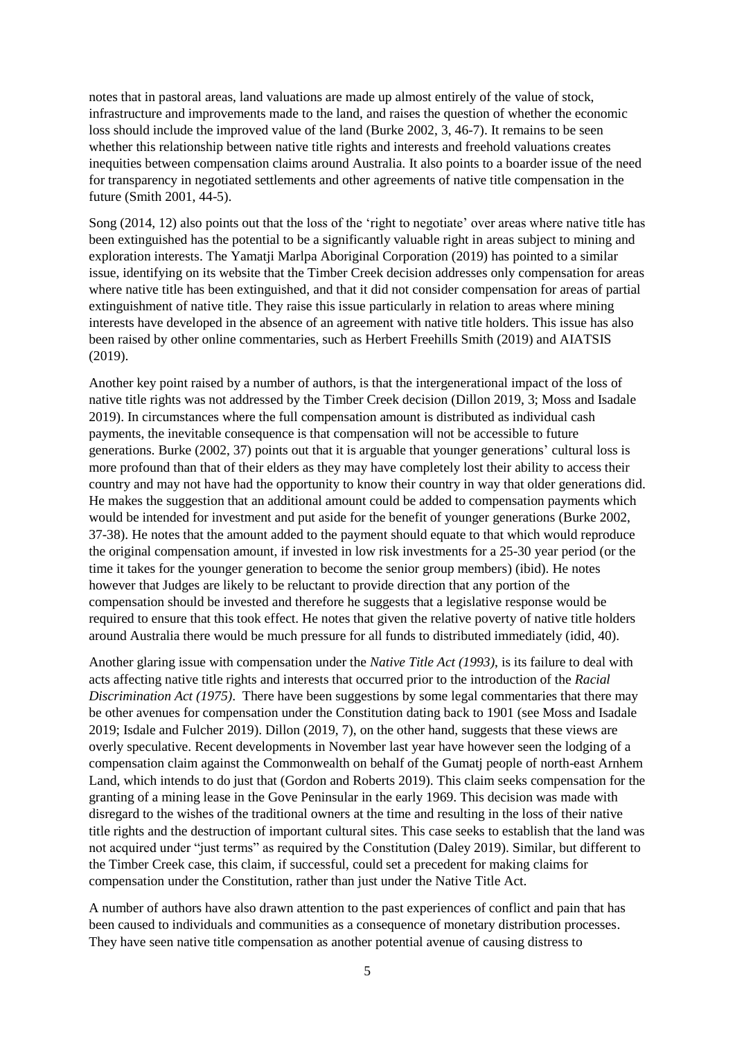notes that in pastoral areas, land valuations are made up almost entirely of the value of stock, infrastructure and improvements made to the land, and raises the question of whether the economic loss should include the improved value of the land (Burke 2002, 3, 46-7). It remains to be seen whether this relationship between native title rights and interests and freehold valuations creates inequities between compensation claims around Australia. It also points to a boarder issue of the need for transparency in negotiated settlements and other agreements of native title compensation in the future (Smith 2001, 44-5).

Song (2014, 12) also points out that the loss of the 'right to negotiate' over areas where native title has been extinguished has the potential to be a significantly valuable right in areas subject to mining and exploration interests. The Yamatji Marlpa Aboriginal Corporation (2019) has pointed to a similar issue, identifying on its website that the Timber Creek decision addresses only compensation for areas where native title has been extinguished, and that it did not consider compensation for areas of partial extinguishment of native title. They raise this issue particularly in relation to areas where mining interests have developed in the absence of an agreement with native title holders. This issue has also been raised by other online commentaries, such as Herbert Freehills Smith (2019) and AIATSIS (2019).

Another key point raised by a number of authors, is that the intergenerational impact of the loss of native title rights was not addressed by the Timber Creek decision (Dillon 2019, 3; Moss and Isadale 2019). In circumstances where the full compensation amount is distributed as individual cash payments, the inevitable consequence is that compensation will not be accessible to future generations. Burke (2002, 37) points out that it is arguable that younger generations' cultural loss is more profound than that of their elders as they may have completely lost their ability to access their country and may not have had the opportunity to know their country in way that older generations did. He makes the suggestion that an additional amount could be added to compensation payments which would be intended for investment and put aside for the benefit of younger generations (Burke 2002, 37-38). He notes that the amount added to the payment should equate to that which would reproduce the original compensation amount, if invested in low risk investments for a 25-30 year period (or the time it takes for the younger generation to become the senior group members) (ibid). He notes however that Judges are likely to be reluctant to provide direction that any portion of the compensation should be invested and therefore he suggests that a legislative response would be required to ensure that this took effect. He notes that given the relative poverty of native title holders around Australia there would be much pressure for all funds to distributed immediately (idid, 40).

Another glaring issue with compensation under the *Native Title Act (1993)*, is its failure to deal with acts affecting native title rights and interests that occurred prior to the introduction of the *Racial Discrimination Act (1975)*. There have been suggestions by some legal commentaries that there may be other avenues for compensation under the Constitution dating back to 1901 (see Moss and Isadale 2019; Isdale and Fulcher 2019). Dillon (2019, 7), on the other hand, suggests that these views are overly speculative. Recent developments in November last year have however seen the lodging of a compensation claim against the Commonwealth on behalf of the Gumatj people of north-east Arnhem Land, which intends to do just that (Gordon and Roberts 2019). This claim seeks compensation for the granting of a mining lease in the Gove Peninsular in the early 1969. This decision was made with disregard to the wishes of the traditional owners at the time and resulting in the loss of their native title rights and the destruction of important cultural sites. This case seeks to establish that the land was not acquired under "just terms" as required by the Constitution (Daley 2019). Similar, but different to the Timber Creek case, this claim, if successful, could set a precedent for making claims for compensation under the Constitution, rather than just under the Native Title Act.

A number of authors have also drawn attention to the past experiences of conflict and pain that has been caused to individuals and communities as a consequence of monetary distribution processes. They have seen native title compensation as another potential avenue of causing distress to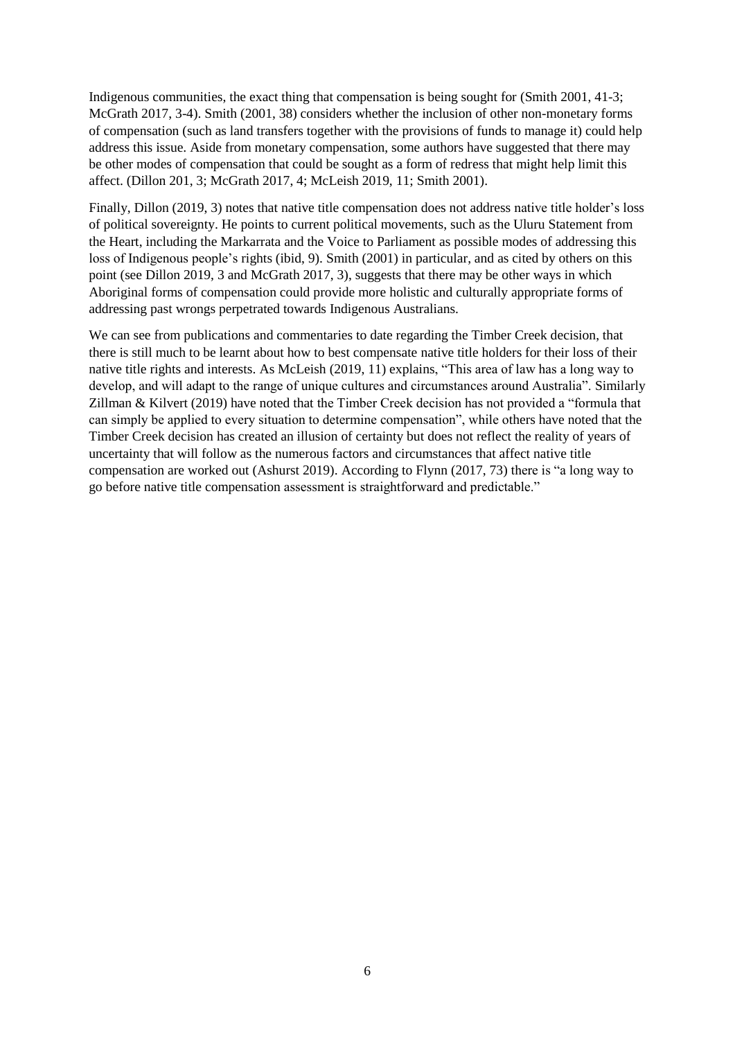Indigenous communities, the exact thing that compensation is being sought for (Smith 2001, 41-3; McGrath 2017, 3-4). Smith (2001, 38) considers whether the inclusion of other non-monetary forms of compensation (such as land transfers together with the provisions of funds to manage it) could help address this issue. Aside from monetary compensation, some authors have suggested that there may be other modes of compensation that could be sought as a form of redress that might help limit this affect. (Dillon 201, 3; McGrath 2017, 4; McLeish 2019, 11; Smith 2001).

Finally, Dillon (2019, 3) notes that native title compensation does not address native title holder's loss of political sovereignty. He points to current political movements, such as the Uluru Statement from the Heart, including the Markarrata and the Voice to Parliament as possible modes of addressing this loss of Indigenous people's rights (ibid, 9). Smith (2001) in particular, and as cited by others on this point (see Dillon 2019, 3 and McGrath 2017, 3), suggests that there may be other ways in which Aboriginal forms of compensation could provide more holistic and culturally appropriate forms of addressing past wrongs perpetrated towards Indigenous Australians.

We can see from publications and commentaries to date regarding the Timber Creek decision, that there is still much to be learnt about how to best compensate native title holders for their loss of their native title rights and interests. As McLeish (2019, 11) explains, "This area of law has a long way to develop, and will adapt to the range of unique cultures and circumstances around Australia". Similarly Zillman & Kilvert (2019) have noted that the Timber Creek decision has not provided a "formula that can simply be applied to every situation to determine compensation", while others have noted that the Timber Creek decision has created an illusion of certainty but does not reflect the reality of years of uncertainty that will follow as the numerous factors and circumstances that affect native title compensation are worked out (Ashurst 2019). According to Flynn (2017, 73) there is "a long way to go before native title compensation assessment is straightforward and predictable."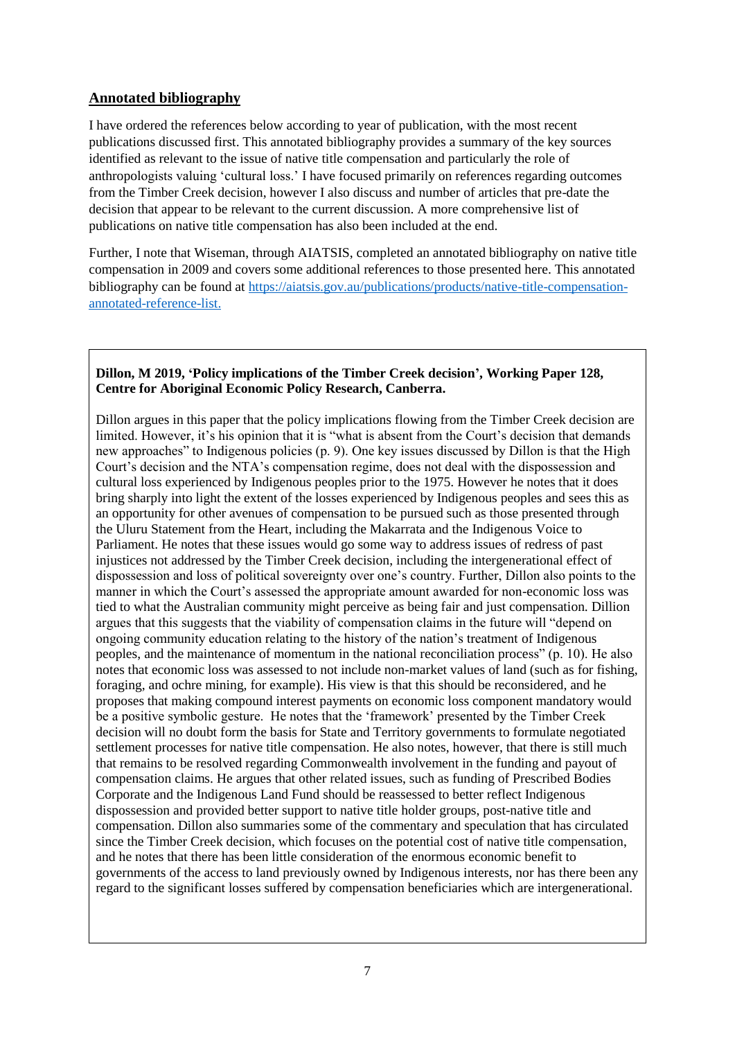## **Annotated bibliography**

I have ordered the references below according to year of publication, with the most recent publications discussed first. This annotated bibliography provides a summary of the key sources identified as relevant to the issue of native title compensation and particularly the role of anthropologists valuing 'cultural loss.' I have focused primarily on references regarding outcomes from the Timber Creek decision, however I also discuss and number of articles that pre-date the decision that appear to be relevant to the current discussion. A more comprehensive list of publications on native title compensation has also been included at the end.

Further, I note that Wiseman, through AIATSIS, completed an annotated bibliography on native title compensation in 2009 and covers some additional references to those presented here. This annotated bibliography can be found at [https://aiatsis.gov.au/publications/products/native-title-compensation](https://aiatsis.gov.au/publications/products/native-title-compensation-annotated-reference-list)[annotated-reference-list.](https://aiatsis.gov.au/publications/products/native-title-compensation-annotated-reference-list)

### **Dillon, M 2019, 'Policy implications of the Timber Creek decision', Working Paper 128, Centre for Aboriginal Economic Policy Research, Canberra.**

Dillon argues in this paper that the policy implications flowing from the Timber Creek decision are limited. However, it's his opinion that it is "what is absent from the Court's decision that demands new approaches" to Indigenous policies (p. 9). One key issues discussed by Dillon is that the High Court's decision and the NTA's compensation regime, does not deal with the dispossession and cultural loss experienced by Indigenous peoples prior to the 1975. However he notes that it does bring sharply into light the extent of the losses experienced by Indigenous peoples and sees this as an opportunity for other avenues of compensation to be pursued such as those presented through the Uluru Statement from the Heart, including the Makarrata and the Indigenous Voice to Parliament. He notes that these issues would go some way to address issues of redress of past injustices not addressed by the Timber Creek decision, including the intergenerational effect of dispossession and loss of political sovereignty over one's country. Further, Dillon also points to the manner in which the Court's assessed the appropriate amount awarded for non-economic loss was tied to what the Australian community might perceive as being fair and just compensation. Dillion argues that this suggests that the viability of compensation claims in the future will "depend on ongoing community education relating to the history of the nation's treatment of Indigenous peoples, and the maintenance of momentum in the national reconciliation process" (p. 10). He also notes that economic loss was assessed to not include non-market values of land (such as for fishing, foraging, and ochre mining, for example). His view is that this should be reconsidered, and he proposes that making compound interest payments on economic loss component mandatory would be a positive symbolic gesture. He notes that the 'framework' presented by the Timber Creek decision will no doubt form the basis for State and Territory governments to formulate negotiated settlement processes for native title compensation. He also notes, however, that there is still much that remains to be resolved regarding Commonwealth involvement in the funding and payout of compensation claims. He argues that other related issues, such as funding of Prescribed Bodies Corporate and the Indigenous Land Fund should be reassessed to better reflect Indigenous dispossession and provided better support to native title holder groups, post-native title and compensation. Dillon also summaries some of the commentary and speculation that has circulated since the Timber Creek decision, which focuses on the potential cost of native title compensation, and he notes that there has been little consideration of the enormous economic benefit to governments of the access to land previously owned by Indigenous interests, nor has there been any regard to the significant losses suffered by compensation beneficiaries which are intergenerational.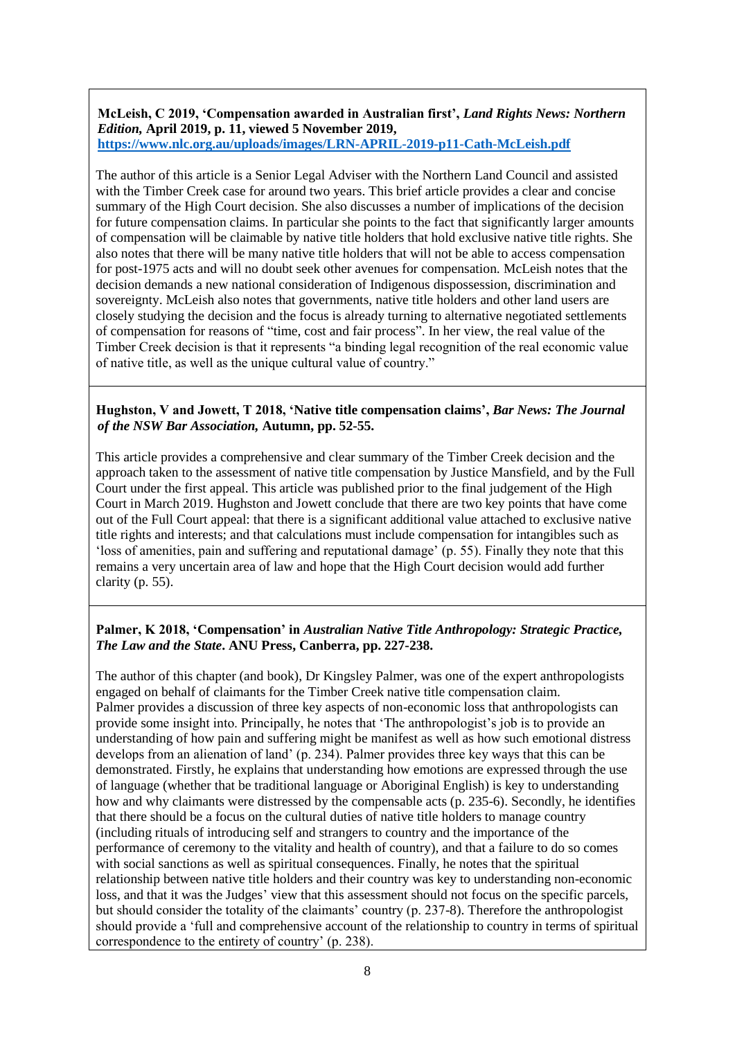#### **McLeish, C 2019, 'Compensation awarded in Australian first',** *Land Rights News: Northern Edition,* **April 2019, p. 11, viewed 5 November 2019, <https://www.nlc.org.au/uploads/images/LRN-APRIL-2019-p11-Cath-McLeish.pdf>**

The author of this article is a Senior Legal Adviser with the Northern Land Council and assisted with the Timber Creek case for around two years. This brief article provides a clear and concise summary of the High Court decision. She also discusses a number of implications of the decision for future compensation claims. In particular she points to the fact that significantly larger amounts of compensation will be claimable by native title holders that hold exclusive native title rights. She also notes that there will be many native title holders that will not be able to access compensation for post-1975 acts and will no doubt seek other avenues for compensation. McLeish notes that the decision demands a new national consideration of Indigenous dispossession, discrimination and sovereignty. McLeish also notes that governments, native title holders and other land users are closely studying the decision and the focus is already turning to alternative negotiated settlements of compensation for reasons of "time, cost and fair process". In her view, the real value of the Timber Creek decision is that it represents "a binding legal recognition of the real economic value of native title, as well as the unique cultural value of country."

#### **Hughston, V and Jowett, T 2018, 'Native title compensation claims',** *Bar News: The Journal of the NSW Bar Association,* **Autumn, pp. 52-55.**

This article provides a comprehensive and clear summary of the Timber Creek decision and the approach taken to the assessment of native title compensation by Justice Mansfield, and by the Full Court under the first appeal. This article was published prior to the final judgement of the High Court in March 2019. Hughston and Jowett conclude that there are two key points that have come out of the Full Court appeal: that there is a significant additional value attached to exclusive native title rights and interests; and that calculations must include compensation for intangibles such as 'loss of amenities, pain and suffering and reputational damage' (p. 55). Finally they note that this remains a very uncertain area of law and hope that the High Court decision would add further clarity (p. 55).

### **Palmer, K 2018, 'Compensation' in** *Australian Native Title Anthropology: Strategic Practice, The Law and the State***. ANU Press, Canberra, pp. 227-238.**

The author of this chapter (and book), Dr Kingsley Palmer, was one of the expert anthropologists engaged on behalf of claimants for the Timber Creek native title compensation claim. Palmer provides a discussion of three key aspects of non-economic loss that anthropologists can provide some insight into. Principally, he notes that 'The anthropologist's job is to provide an understanding of how pain and suffering might be manifest as well as how such emotional distress develops from an alienation of land' (p. 234). Palmer provides three key ways that this can be demonstrated. Firstly, he explains that understanding how emotions are expressed through the use of language (whether that be traditional language or Aboriginal English) is key to understanding how and why claimants were distressed by the compensable acts (p. 235-6). Secondly, he identifies that there should be a focus on the cultural duties of native title holders to manage country (including rituals of introducing self and strangers to country and the importance of the performance of ceremony to the vitality and health of country), and that a failure to do so comes with social sanctions as well as spiritual consequences. Finally, he notes that the spiritual relationship between native title holders and their country was key to understanding non-economic loss, and that it was the Judges' view that this assessment should not focus on the specific parcels, but should consider the totality of the claimants' country (p. 237-8). Therefore the anthropologist should provide a 'full and comprehensive account of the relationship to country in terms of spiritual correspondence to the entirety of country' (p. 238).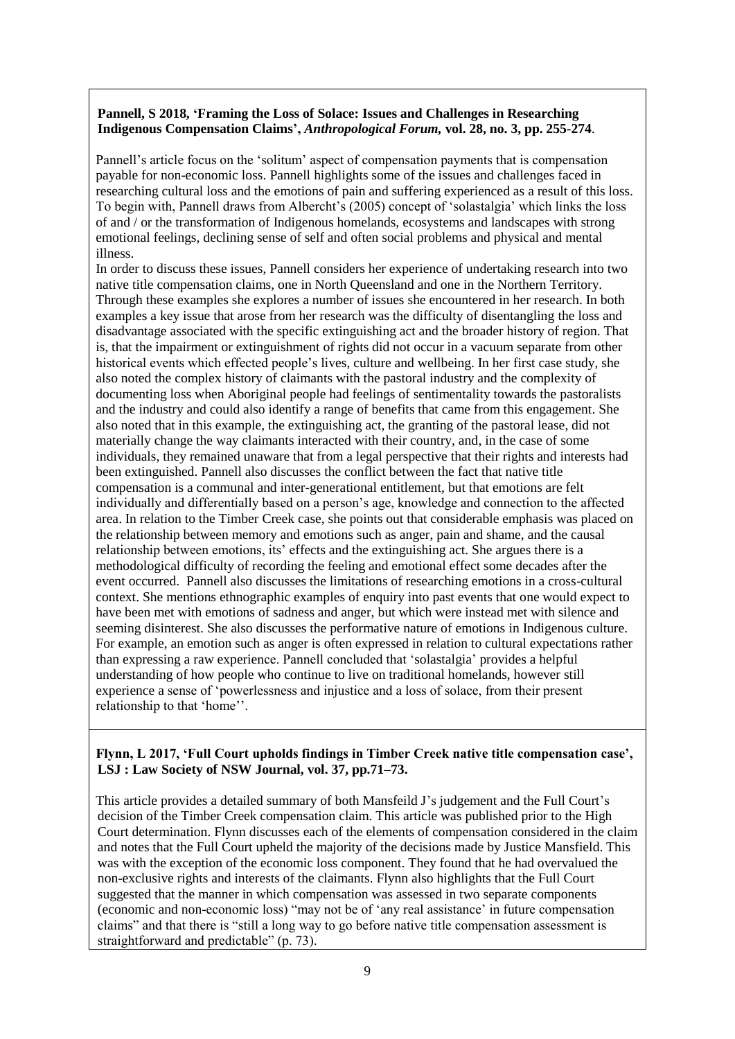### **Pannell, S 2018, 'Framing the Loss of Solace: Issues and Challenges in Researching Indigenous Compensation Claims',** *Anthropological Forum,* **vol. 28, no. 3, pp. 255-274**.

Pannell's article focus on the 'solitum' aspect of compensation payments that is compensation payable for non-economic loss. Pannell highlights some of the issues and challenges faced in researching cultural loss and the emotions of pain and suffering experienced as a result of this loss. To begin with, Pannell draws from Albercht's (2005) concept of 'solastalgia' which links the loss of and / or the transformation of Indigenous homelands, ecosystems and landscapes with strong emotional feelings, declining sense of self and often social problems and physical and mental illness.

In order to discuss these issues, Pannell considers her experience of undertaking research into two native title compensation claims, one in North Queensland and one in the Northern Territory. Through these examples she explores a number of issues she encountered in her research. In both examples a key issue that arose from her research was the difficulty of disentangling the loss and disadvantage associated with the specific extinguishing act and the broader history of region. That is, that the impairment or extinguishment of rights did not occur in a vacuum separate from other historical events which effected people's lives, culture and wellbeing. In her first case study, she also noted the complex history of claimants with the pastoral industry and the complexity of documenting loss when Aboriginal people had feelings of sentimentality towards the pastoralists and the industry and could also identify a range of benefits that came from this engagement. She also noted that in this example, the extinguishing act, the granting of the pastoral lease, did not materially change the way claimants interacted with their country, and, in the case of some individuals, they remained unaware that from a legal perspective that their rights and interests had been extinguished. Pannell also discusses the conflict between the fact that native title compensation is a communal and inter-generational entitlement, but that emotions are felt individually and differentially based on a person's age, knowledge and connection to the affected area. In relation to the Timber Creek case, she points out that considerable emphasis was placed on the relationship between memory and emotions such as anger, pain and shame, and the causal relationship between emotions, its' effects and the extinguishing act. She argues there is a methodological difficulty of recording the feeling and emotional effect some decades after the event occurred. Pannell also discusses the limitations of researching emotions in a cross-cultural context. She mentions ethnographic examples of enquiry into past events that one would expect to have been met with emotions of sadness and anger, but which were instead met with silence and seeming disinterest. She also discusses the performative nature of emotions in Indigenous culture. For example, an emotion such as anger is often expressed in relation to cultural expectations rather than expressing a raw experience. Pannell concluded that 'solastalgia' provides a helpful understanding of how people who continue to live on traditional homelands, however still experience a sense of 'powerlessness and injustice and a loss of solace, from their present relationship to that 'home''.

#### **Flynn, L 2017, 'Full Court upholds findings in Timber Creek native title compensation case', LSJ : Law Society of NSW Journal, vol. 37, pp.71–73.**

This article provides a detailed summary of both Mansfeild J's judgement and the Full Court's decision of the Timber Creek compensation claim. This article was published prior to the High Court determination. Flynn discusses each of the elements of compensation considered in the claim and notes that the Full Court upheld the majority of the decisions made by Justice Mansfield. This was with the exception of the economic loss component. They found that he had overvalued the non-exclusive rights and interests of the claimants. Flynn also highlights that the Full Court suggested that the manner in which compensation was assessed in two separate components (economic and non-economic loss) "may not be of 'any real assistance' in future compensation claims" and that there is "still a long way to go before native title compensation assessment is straightforward and predictable" (p. 73).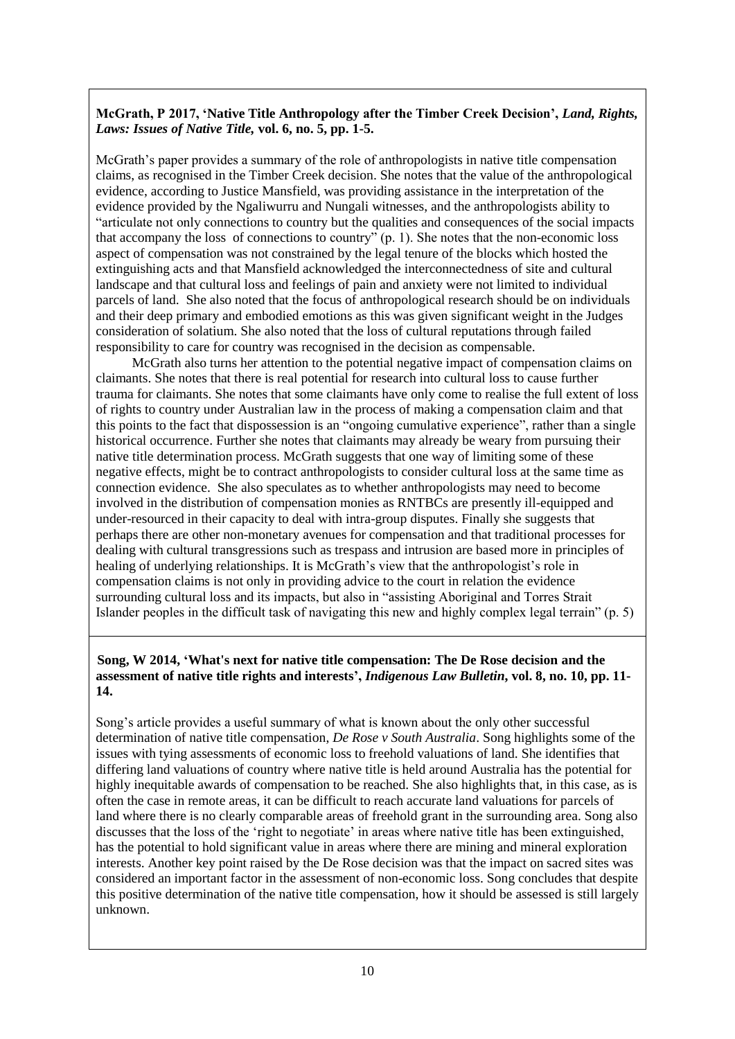## **McGrath, P 2017, 'Native Title Anthropology after the Timber Creek Decision',** *Land, Rights, Laws: Issues of Native Title,* **vol. 6, no. 5, pp. 1-5.**

McGrath's paper provides a summary of the role of anthropologists in native title compensation claims, as recognised in the Timber Creek decision. She notes that the value of the anthropological evidence, according to Justice Mansfield, was providing assistance in the interpretation of the evidence provided by the Ngaliwurru and Nungali witnesses, and the anthropologists ability to "articulate not only connections to country but the qualities and consequences of the social impacts that accompany the loss of connections to country" (p. 1). She notes that the non-economic loss aspect of compensation was not constrained by the legal tenure of the blocks which hosted the extinguishing acts and that Mansfield acknowledged the interconnectedness of site and cultural landscape and that cultural loss and feelings of pain and anxiety were not limited to individual parcels of land. She also noted that the focus of anthropological research should be on individuals and their deep primary and embodied emotions as this was given significant weight in the Judges consideration of solatium. She also noted that the loss of cultural reputations through failed responsibility to care for country was recognised in the decision as compensable.

McGrath also turns her attention to the potential negative impact of compensation claims on claimants. She notes that there is real potential for research into cultural loss to cause further trauma for claimants. She notes that some claimants have only come to realise the full extent of loss of rights to country under Australian law in the process of making a compensation claim and that this points to the fact that dispossession is an "ongoing cumulative experience", rather than a single historical occurrence. Further she notes that claimants may already be weary from pursuing their native title determination process. McGrath suggests that one way of limiting some of these negative effects, might be to contract anthropologists to consider cultural loss at the same time as connection evidence. She also speculates as to whether anthropologists may need to become involved in the distribution of compensation monies as RNTBCs are presently ill-equipped and under-resourced in their capacity to deal with intra-group disputes. Finally she suggests that perhaps there are other non-monetary avenues for compensation and that traditional processes for dealing with cultural transgressions such as trespass and intrusion are based more in principles of healing of underlying relationships. It is McGrath's view that the anthropologist's role in compensation claims is not only in providing advice to the court in relation the evidence surrounding cultural loss and its impacts, but also in "assisting Aboriginal and Torres Strait Islander peoples in the difficult task of navigating this new and highly complex legal terrain" (p. 5)

### **Song, W 2014, 'What's next for native title compensation: The De Rose decision and the assessment of native title rights and interests',** *Indigenous Law Bulletin***, vol. 8, no. 10, pp. 11- 14.**

Song's article provides a useful summary of what is known about the only other successful determination of native title compensation, *De Rose v South Australia*. Song highlights some of the issues with tying assessments of economic loss to freehold valuations of land. She identifies that differing land valuations of country where native title is held around Australia has the potential for highly inequitable awards of compensation to be reached. She also highlights that, in this case, as is often the case in remote areas, it can be difficult to reach accurate land valuations for parcels of land where there is no clearly comparable areas of freehold grant in the surrounding area. Song also discusses that the loss of the 'right to negotiate' in areas where native title has been extinguished, has the potential to hold significant value in areas where there are mining and mineral exploration interests. Another key point raised by the De Rose decision was that the impact on sacred sites was considered an important factor in the assessment of non-economic loss. Song concludes that despite this positive determination of the native title compensation, how it should be assessed is still largely unknown.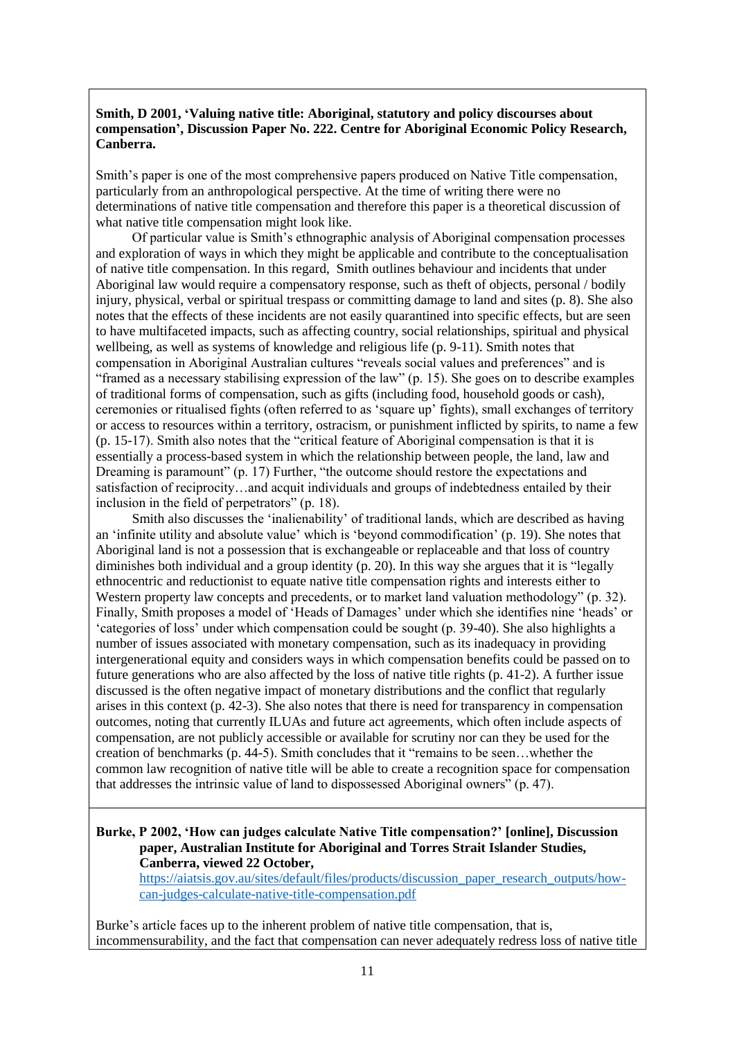### **Smith, D 2001, 'Valuing native title: Aboriginal, statutory and policy discourses about compensation', Discussion Paper No. 222. Centre for Aboriginal Economic Policy Research, Canberra.**

Smith's paper is one of the most comprehensive papers produced on Native Title compensation, particularly from an anthropological perspective. At the time of writing there were no determinations of native title compensation and therefore this paper is a theoretical discussion of what native title compensation might look like.

Of particular value is Smith's ethnographic analysis of Aboriginal compensation processes and exploration of ways in which they might be applicable and contribute to the conceptualisation of native title compensation. In this regard, Smith outlines behaviour and incidents that under Aboriginal law would require a compensatory response, such as theft of objects, personal / bodily injury, physical, verbal or spiritual trespass or committing damage to land and sites (p. 8). She also notes that the effects of these incidents are not easily quarantined into specific effects, but are seen to have multifaceted impacts, such as affecting country, social relationships, spiritual and physical wellbeing, as well as systems of knowledge and religious life (p. 9-11). Smith notes that compensation in Aboriginal Australian cultures "reveals social values and preferences" and is "framed as a necessary stabilising expression of the law" (p. 15). She goes on to describe examples of traditional forms of compensation, such as gifts (including food, household goods or cash), ceremonies or ritualised fights (often referred to as 'square up' fights), small exchanges of territory or access to resources within a territory, ostracism, or punishment inflicted by spirits, to name a few (p. 15-17). Smith also notes that the "critical feature of Aboriginal compensation is that it is essentially a process-based system in which the relationship between people, the land, law and Dreaming is paramount" (p. 17) Further, "the outcome should restore the expectations and satisfaction of reciprocity…and acquit individuals and groups of indebtedness entailed by their inclusion in the field of perpetrators" (p. 18).

Smith also discusses the 'inalienability' of traditional lands, which are described as having an 'infinite utility and absolute value' which is 'beyond commodification' (p. 19). She notes that Aboriginal land is not a possession that is exchangeable or replaceable and that loss of country diminishes both individual and a group identity (p. 20). In this way she argues that it is "legally ethnocentric and reductionist to equate native title compensation rights and interests either to Western property law concepts and precedents, or to market land valuation methodology" (p. 32). Finally, Smith proposes a model of 'Heads of Damages' under which she identifies nine 'heads' or 'categories of loss' under which compensation could be sought (p. 39-40). She also highlights a number of issues associated with monetary compensation, such as its inadequacy in providing intergenerational equity and considers ways in which compensation benefits could be passed on to future generations who are also affected by the loss of native title rights (p. 41-2). A further issue discussed is the often negative impact of monetary distributions and the conflict that regularly arises in this context (p. 42-3). She also notes that there is need for transparency in compensation outcomes, noting that currently ILUAs and future act agreements, which often include aspects of compensation, are not publicly accessible or available for scrutiny nor can they be used for the creation of benchmarks (p. 44-5). Smith concludes that it "remains to be seen…whether the common law recognition of native title will be able to create a recognition space for compensation that addresses the intrinsic value of land to dispossessed Aboriginal owners" (p. 47).

**Burke, P 2002, 'How can judges calculate Native Title compensation?' [online], Discussion paper, Australian Institute for Aboriginal and Torres Strait Islander Studies, Canberra, viewed 22 October,**  [https://aiatsis.gov.au/sites/default/files/products/discussion\\_paper\\_research\\_outputs/how](https://aiatsis.gov.au/sites/default/files/products/discussion_paper_research_outputs/how-can-judges-calculate-native-title-compensation.pdf)[can-judges-calculate-native-title-compensation.pdf](https://aiatsis.gov.au/sites/default/files/products/discussion_paper_research_outputs/how-can-judges-calculate-native-title-compensation.pdf)

Burke's article faces up to the inherent problem of native title compensation, that is, incommensurability, and the fact that compensation can never adequately redress loss of native title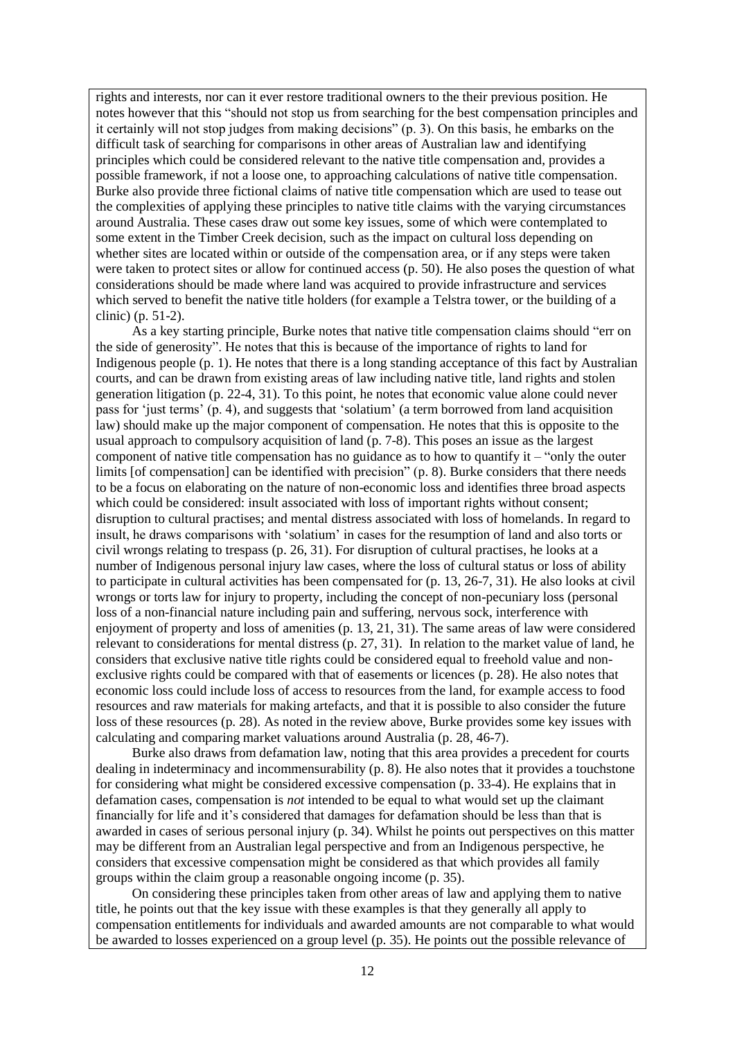rights and interests, nor can it ever restore traditional owners to the their previous position. He notes however that this "should not stop us from searching for the best compensation principles and it certainly will not stop judges from making decisions" (p. 3). On this basis, he embarks on the difficult task of searching for comparisons in other areas of Australian law and identifying principles which could be considered relevant to the native title compensation and, provides a possible framework, if not a loose one, to approaching calculations of native title compensation. Burke also provide three fictional claims of native title compensation which are used to tease out the complexities of applying these principles to native title claims with the varying circumstances around Australia. These cases draw out some key issues, some of which were contemplated to some extent in the Timber Creek decision, such as the impact on cultural loss depending on whether sites are located within or outside of the compensation area, or if any steps were taken were taken to protect sites or allow for continued access (p. 50). He also poses the question of what considerations should be made where land was acquired to provide infrastructure and services which served to benefit the native title holders (for example a Telstra tower, or the building of a clinic) (p. 51-2).

As a key starting principle, Burke notes that native title compensation claims should "err on the side of generosity". He notes that this is because of the importance of rights to land for Indigenous people (p. 1). He notes that there is a long standing acceptance of this fact by Australian courts, and can be drawn from existing areas of law including native title, land rights and stolen generation litigation (p. 22-4, 31). To this point, he notes that economic value alone could never pass for 'just terms' (p. 4), and suggests that 'solatium' (a term borrowed from land acquisition law) should make up the major component of compensation. He notes that this is opposite to the usual approach to compulsory acquisition of land (p. 7-8). This poses an issue as the largest component of native title compensation has no guidance as to how to quantify it  $-$  "only the outer" limits [of compensation] can be identified with precision" (p. 8). Burke considers that there needs to be a focus on elaborating on the nature of non-economic loss and identifies three broad aspects which could be considered: insult associated with loss of important rights without consent; disruption to cultural practises; and mental distress associated with loss of homelands. In regard to insult, he draws comparisons with 'solatium' in cases for the resumption of land and also torts or civil wrongs relating to trespass (p. 26, 31). For disruption of cultural practises, he looks at a number of Indigenous personal injury law cases, where the loss of cultural status or loss of ability to participate in cultural activities has been compensated for (p. 13, 26-7, 31). He also looks at civil wrongs or torts law for injury to property, including the concept of non-pecuniary loss (personal loss of a non-financial nature including pain and suffering, nervous sock, interference with enjoyment of property and loss of amenities (p. 13, 21, 31). The same areas of law were considered relevant to considerations for mental distress (p. 27, 31). In relation to the market value of land, he considers that exclusive native title rights could be considered equal to freehold value and nonexclusive rights could be compared with that of easements or licences (p. 28). He also notes that economic loss could include loss of access to resources from the land, for example access to food resources and raw materials for making artefacts, and that it is possible to also consider the future loss of these resources (p. 28). As noted in the review above, Burke provides some key issues with calculating and comparing market valuations around Australia (p. 28, 46-7).

Burke also draws from defamation law, noting that this area provides a precedent for courts dealing in indeterminacy and incommensurability (p. 8). He also notes that it provides a touchstone for considering what might be considered excessive compensation (p. 33-4). He explains that in defamation cases, compensation is *not* intended to be equal to what would set up the claimant financially for life and it's considered that damages for defamation should be less than that is awarded in cases of serious personal injury (p. 34). Whilst he points out perspectives on this matter may be different from an Australian legal perspective and from an Indigenous perspective, he considers that excessive compensation might be considered as that which provides all family groups within the claim group a reasonable ongoing income (p. 35).

On considering these principles taken from other areas of law and applying them to native title, he points out that the key issue with these examples is that they generally all apply to compensation entitlements for individuals and awarded amounts are not comparable to what would be awarded to losses experienced on a group level (p. 35). He points out the possible relevance of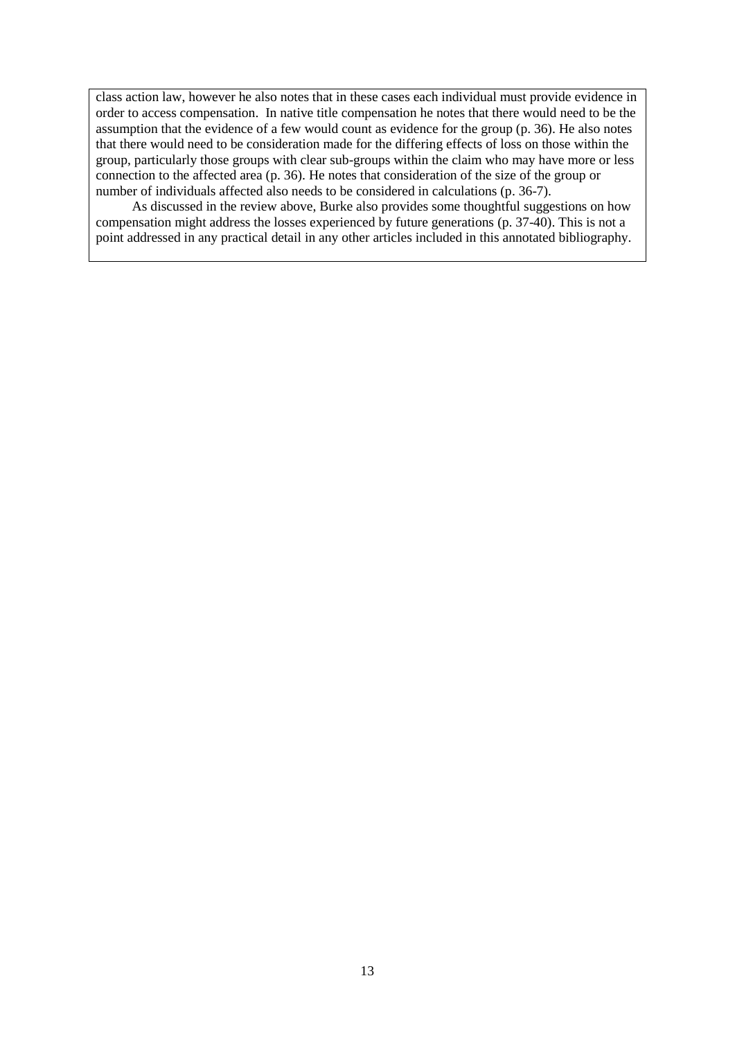class action law, however he also notes that in these cases each individual must provide evidence in order to access compensation. In native title compensation he notes that there would need to be the assumption that the evidence of a few would count as evidence for the group (p. 36). He also notes that there would need to be consideration made for the differing effects of loss on those within the group, particularly those groups with clear sub-groups within the claim who may have more or less connection to the affected area (p. 36). He notes that consideration of the size of the group or number of individuals affected also needs to be considered in calculations (p. 36-7).

As discussed in the review above, Burke also provides some thoughtful suggestions on how compensation might address the losses experienced by future generations (p. 37-40). This is not a point addressed in any practical detail in any other articles included in this annotated bibliography.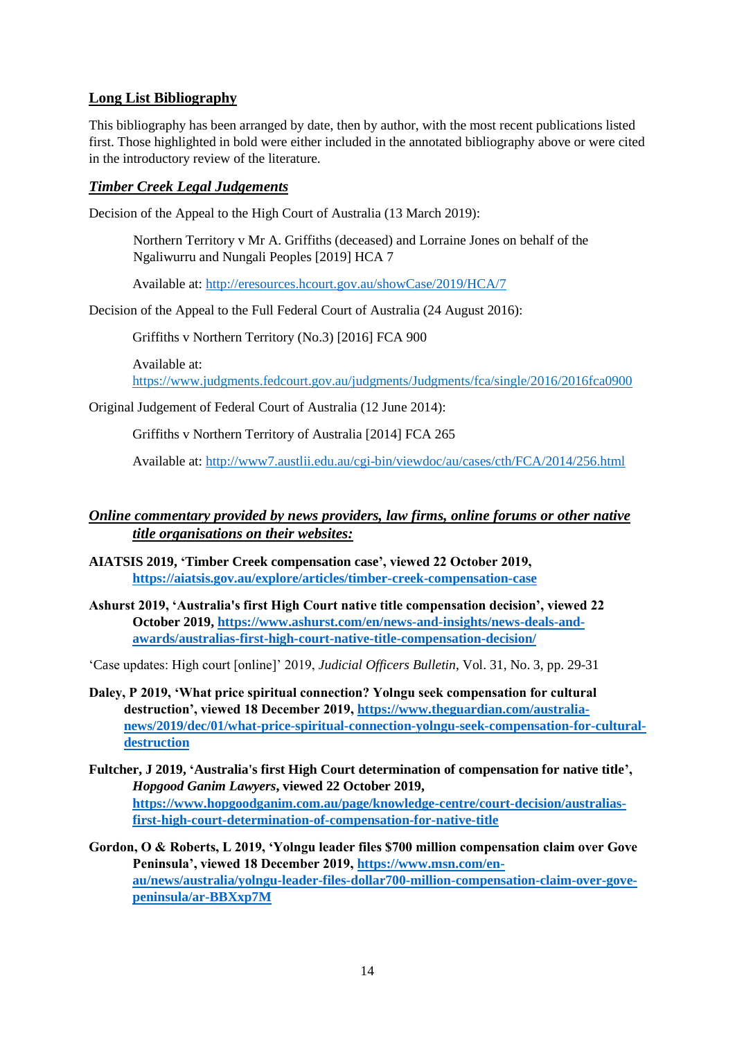## **Long List Bibliography**

This bibliography has been arranged by date, then by author, with the most recent publications listed first. Those highlighted in bold were either included in the annotated bibliography above or were cited in the introductory review of the literature.

## *Timber Creek Legal Judgements*

Decision of the Appeal to the High Court of Australia (13 March 2019):

Northern Territory v Mr A. Griffiths (deceased) and Lorraine Jones on behalf of the Ngaliwurru and Nungali Peoples [2019] HCA 7

Available at:<http://eresources.hcourt.gov.au/showCase/2019/HCA/7>

Decision of the Appeal to the Full Federal Court of Australia (24 August 2016):

Griffiths v Northern Territory (No.3) [2016] FCA 900

Available at:

<https://www.judgments.fedcourt.gov.au/judgments/Judgments/fca/single/2016/2016fca0900>

Original Judgement of Federal Court of Australia (12 June 2014):

Griffiths v Northern Territory of Australia [2014] FCA 265

Available at:<http://www7.austlii.edu.au/cgi-bin/viewdoc/au/cases/cth/FCA/2014/256.html>

## *Online commentary provided by news providers, law firms, online forums or other native title organisations on their websites:*

- **AIATSIS 2019, 'Timber Creek compensation case', viewed 22 October 2019, <https://aiatsis.gov.au/explore/articles/timber-creek-compensation-case>**
- **Ashurst 2019, 'Australia's first High Court native title compensation decision', viewed 22 October 2019, [https://www.ashurst.com/en/news-and-insights/news-deals-and](https://www.ashurst.com/en/news-and-insights/news-deals-and-awards/australias-first-high-court-native-title-compensation-decision/)[awards/australias-first-high-court-native-title-compensation-decision/](https://www.ashurst.com/en/news-and-insights/news-deals-and-awards/australias-first-high-court-native-title-compensation-decision/)**

'Case updates: High court [online]' 2019, *Judicial Officers Bulletin*, Vol. 31, No. 3, pp. 29-31

- **Daley, P 2019, 'What price spiritual connection? Yolngu seek compensation for cultural destruction', viewed 18 December 2019, [https://www.theguardian.com/australia](https://www.theguardian.com/australia-news/2019/dec/01/what-price-spiritual-connection-yolngu-seek-compensation-for-cultural-destruction)[news/2019/dec/01/what-price-spiritual-connection-yolngu-seek-compensation-for-cultural](https://www.theguardian.com/australia-news/2019/dec/01/what-price-spiritual-connection-yolngu-seek-compensation-for-cultural-destruction)[destruction](https://www.theguardian.com/australia-news/2019/dec/01/what-price-spiritual-connection-yolngu-seek-compensation-for-cultural-destruction)**
- **Fultcher, J 2019, 'Australia's first High Court determination of compensation for native title',** *Hopgood Ganim Lawyers***, viewed 22 October 2019, [https://www.hopgoodganim.com.au/page/knowledge-centre/court-decision/australias](https://www.hopgoodganim.com.au/page/knowledge-centre/court-decision/australias-first-high-court-determination-of-compensation-for-native-title)[first-high-court-determination-of-compensation-for-native-title](https://www.hopgoodganim.com.au/page/knowledge-centre/court-decision/australias-first-high-court-determination-of-compensation-for-native-title)**
- **Gordon, O & Roberts, L 2019, 'Yolngu leader files \$700 million compensation claim over Gove Peninsula', viewed 18 December 2019, [https://www.msn.com/en](https://www.msn.com/en-au/news/australia/yolngu-leader-files-dollar700-million-compensation-claim-over-gove-peninsula/ar-BBXxp7M)[au/news/australia/yolngu-leader-files-dollar700-million-compensation-claim-over-gove](https://www.msn.com/en-au/news/australia/yolngu-leader-files-dollar700-million-compensation-claim-over-gove-peninsula/ar-BBXxp7M)[peninsula/ar-BBXxp7M](https://www.msn.com/en-au/news/australia/yolngu-leader-files-dollar700-million-compensation-claim-over-gove-peninsula/ar-BBXxp7M)**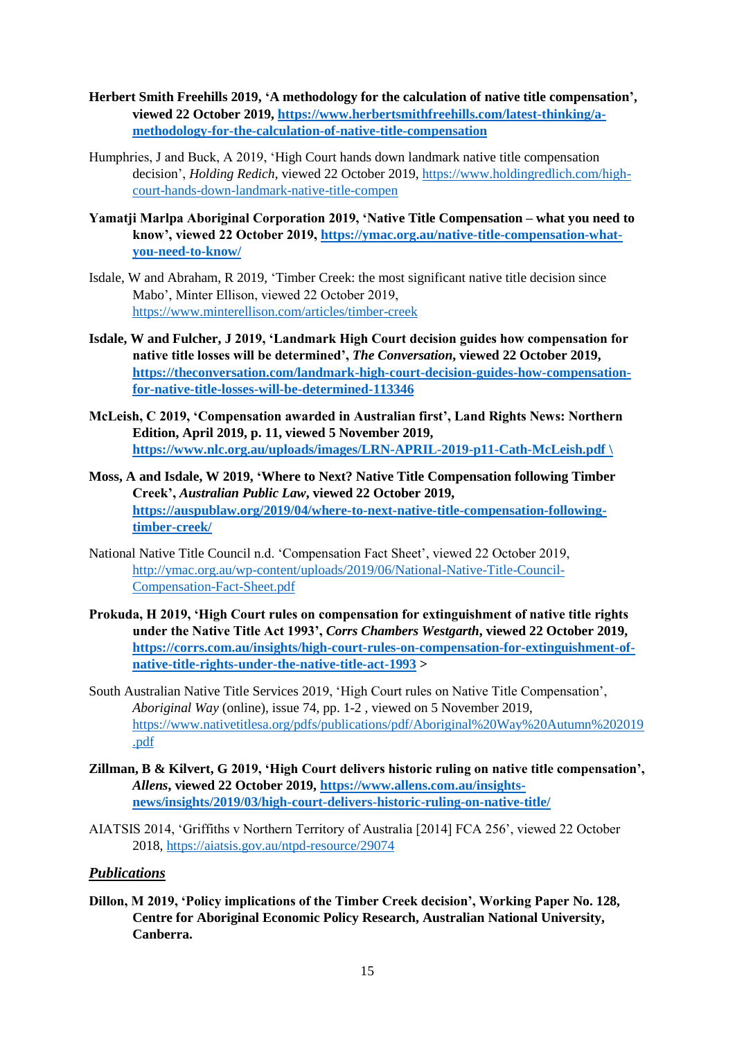- **Herbert Smith Freehills 2019, 'A methodology for the calculation of native title compensation', viewed 22 October 2019, [https://www.herbertsmithfreehills.com/latest-thinking/a](https://www.herbertsmithfreehills.com/latest-thinking/a-methodology-for-the-calculation-of-native-title-compensation)[methodology-for-the-calculation-of-native-title-compensation](https://www.herbertsmithfreehills.com/latest-thinking/a-methodology-for-the-calculation-of-native-title-compensation)**
- Humphries, J and Buck, A 2019, 'High Court hands down landmark native title compensation decision', *Holding Redich*, viewed 22 October 2019, [https://www.holdingredlich.com/high](https://www.holdingredlich.com/high-court-hands-down-landmark-native-title-compen)[court-hands-down-landmark-native-title-compen](https://www.holdingredlich.com/high-court-hands-down-landmark-native-title-compen)
- **Yamatji Marlpa Aboriginal Corporation 2019, 'Native Title Compensation – what you need to know', viewed 22 October 2019, [https://ymac.org.au/native-title-compensation-what](https://ymac.org.au/native-title-compensation-what-you-need-to-know/)[you-need-to-know/](https://ymac.org.au/native-title-compensation-what-you-need-to-know/)**
- Isdale, W and Abraham, R 2019, 'Timber Creek: the most significant native title decision since Mabo', Minter Ellison, viewed 22 October 2019, <https://www.minterellison.com/articles/timber-creek>
- **Isdale, W and Fulcher, J 2019, 'Landmark High Court decision guides how compensation for native title losses will be determined',** *The Conversation***, viewed 22 October 2019, [https://theconversation.com/landmark-high-court-decision-guides-how-compensation](https://theconversation.com/landmark-high-court-decision-guides-how-compensation-for-native-title-losses-will-be-determined-113346)[for-native-title-losses-will-be-determined-113346](https://theconversation.com/landmark-high-court-decision-guides-how-compensation-for-native-title-losses-will-be-determined-113346)**
- **McLeish, C 2019, 'Compensation awarded in Australian first', Land Rights News: Northern Edition, April 2019, p. 11, viewed 5 November 2019, [https://www.nlc.org.au/uploads/images/LRN-APRIL-2019-p11-Cath-McLeish.pdf \](https://www.nlc.org.au/uploads/images/LRN-APRIL-2019-p11-Cath-McLeish.pdf%20/)**
- **Moss, A and Isdale, W 2019, 'Where to Next? Native Title Compensation following Timber Creek',** *Australian Public Law***, viewed 22 October 2019, [https://auspublaw.org/2019/04/where-to-next-native-title-compensation-following](https://auspublaw.org/2019/04/where-to-next-native-title-compensation-following-timber-creek/)[timber-creek/](https://auspublaw.org/2019/04/where-to-next-native-title-compensation-following-timber-creek/)**
- National Native Title Council n.d. 'Compensation Fact Sheet', viewed 22 October 2019, [http://ymac.org.au/wp-content/uploads/2019/06/National-Native-Title-Council-](http://ymac.org.au/wp-content/uploads/2019/06/National-Native-Title-Council-Compensation-Fact-Sheet.pdf)[Compensation-Fact-Sheet.pdf](http://ymac.org.au/wp-content/uploads/2019/06/National-Native-Title-Council-Compensation-Fact-Sheet.pdf)
- **Prokuda, H 2019, 'High Court rules on compensation for extinguishment of native title rights under the Native Title Act 1993',** *Corrs Chambers Westgarth***, viewed 22 October 2019, [https://corrs.com.au/insights/high-court-rules-on-compensation-for-extinguishment-of](https://corrs.com.au/insights/high-court-rules-on-compensation-for-extinguishment-of-native-title-rights-under-the-native-title-act-1993)[native-title-rights-under-the-native-title-act-1993](https://corrs.com.au/insights/high-court-rules-on-compensation-for-extinguishment-of-native-title-rights-under-the-native-title-act-1993) >**
- South Australian Native Title Services 2019, 'High Court rules on Native Title Compensation', *Aboriginal Way* (online)*,* issue 74, pp. 1-2 , viewed on 5 November 2019, [https://www.nativetitlesa.org/pdfs/publications/pdf/Aboriginal%20Way%20Autumn%202019](https://www.nativetitlesa.org/pdfs/publications/pdf/Aboriginal%20Way%20Autumn%202019.pdf) [.pdf](https://www.nativetitlesa.org/pdfs/publications/pdf/Aboriginal%20Way%20Autumn%202019.pdf)
- **Zillman, B & Kilvert, G 2019, 'High Court delivers historic ruling on native title compensation',**  *Allens***, viewed 22 October 2019, [https://www.allens.com.au/insights](https://www.allens.com.au/insights-news/insights/2019/03/high-court-delivers-historic-ruling-on-native-title/)[news/insights/2019/03/high-court-delivers-historic-ruling-on-native-title/](https://www.allens.com.au/insights-news/insights/2019/03/high-court-delivers-historic-ruling-on-native-title/)**
- AIATSIS 2014, 'Griffiths v Northern Territory of Australia [2014] FCA 256', viewed 22 October 2018,<https://aiatsis.gov.au/ntpd-resource/29074>

### *Publications*

**Dillon, M 2019, 'Policy implications of the Timber Creek decision', Working Paper No. 128, Centre for Aboriginal Economic Policy Research, Australian National University, Canberra.**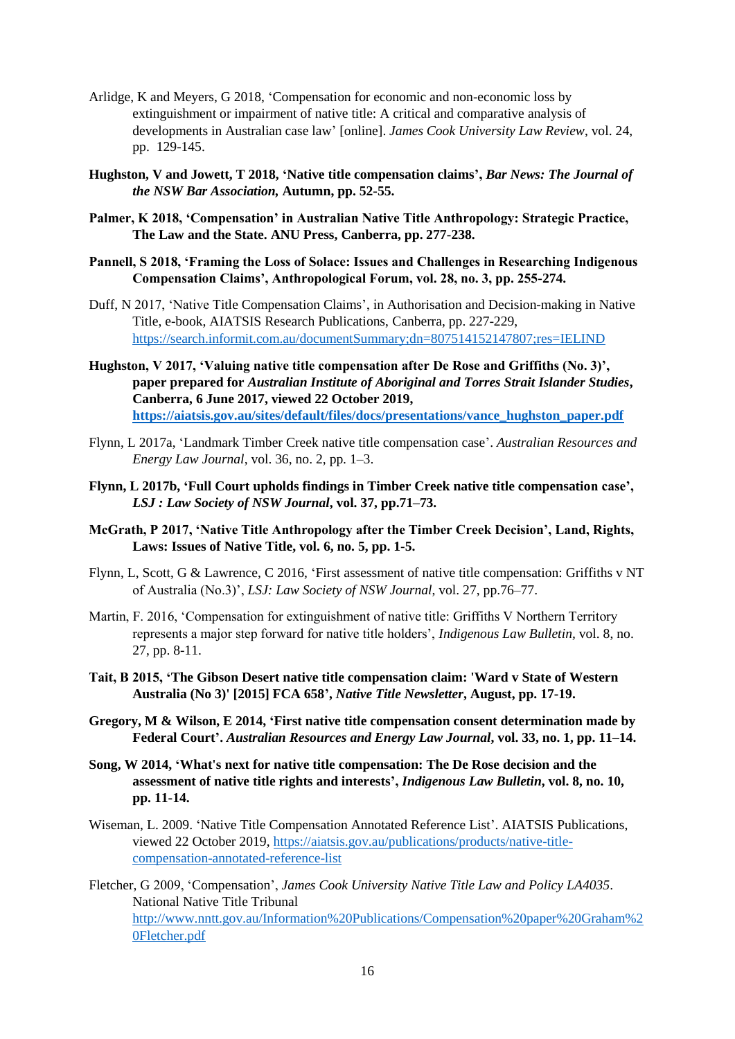- Arlidge, K and Meyers, G 2018, 'Compensation for economic and non-economic loss by extinguishment or impairment of native title: A critical and comparative analysis of developments in Australian case law' [online]. *James Cook University Law Review*, vol. 24, pp. 129-145.
- **Hughston, V and Jowett, T 2018, 'Native title compensation claims',** *Bar News: The Journal of the NSW Bar Association,* **Autumn, pp. 52-55.**
- **Palmer, K 2018, 'Compensation' in Australian Native Title Anthropology: Strategic Practice, The Law and the State. ANU Press, Canberra, pp. 277-238.**
- **Pannell, S 2018, 'Framing the Loss of Solace: Issues and Challenges in Researching Indigenous Compensation Claims', Anthropological Forum, vol. 28, no. 3, pp. 255-274.**
- Duff, N 2017, 'Native Title Compensation Claims', in Authorisation and Decision-making in Native Title, e-book, AIATSIS Research Publications, Canberra, pp. 227-229, <https://search.informit.com.au/documentSummary;dn=807514152147807;res=IELIND>
- **Hughston, V 2017, 'Valuing native title compensation after De Rose and Griffiths (No. 3)', paper prepared for** *Australian Institute of Aboriginal and Torres Strait Islander Studies***, Canberra, 6 June 2017, viewed 22 October 2019, [https://aiatsis.gov.au/sites/default/files/docs/presentations/vance\\_hughston\\_paper.pdf](https://aiatsis.gov.au/sites/default/files/docs/presentations/vance_hughston_paper.pdf)**
- Flynn, L 2017a, 'Landmark Timber Creek native title compensation case'. *Australian Resources and Energy Law Journal*, vol. 36, no. 2, pp. 1–3.
- **Flynn, L 2017b, 'Full Court upholds findings in Timber Creek native title compensation case',**  *LSJ : Law Society of NSW Journal***, vol. 37, pp.71–73.**
- **McGrath, P 2017, 'Native Title Anthropology after the Timber Creek Decision', Land, Rights, Laws: Issues of Native Title, vol. 6, no. 5, pp. 1-5.**
- Flynn, L, Scott, G & Lawrence, C 2016, 'First assessment of native title compensation: Griffiths v NT of Australia (No.3)', *LSJ: Law Society of NSW Journal*, vol. 27, pp.76–77.
- Martin, F. 2016, 'Compensation for extinguishment of native title: Griffiths V Northern Territory represents a major step forward for native title holders', *Indigenous Law Bulletin,* vol. 8, no. 27, pp. 8-11.
- **Tait, B 2015, 'The Gibson Desert native title compensation claim: 'Ward v State of Western Australia (No 3)' [2015] FCA 658',** *Native Title Newsletter***, August, pp. 17-19.**
- **Gregory, M & Wilson, E 2014, 'First native title compensation consent determination made by Federal Court'.** *Australian Resources and Energy Law Journal***, vol. 33, no. 1, pp. 11–14.**
- **Song, W 2014, 'What's next for native title compensation: The De Rose decision and the assessment of native title rights and interests',** *Indigenous Law Bulletin***, vol. 8, no. 10, pp. 11-14.**
- Wiseman, L. 2009. 'Native Title Compensation Annotated Reference List'. AIATSIS Publications, viewed 22 October 2019, [https://aiatsis.gov.au/publications/products/native-title](https://aiatsis.gov.au/publications/products/native-title-compensation-annotated-reference-list)[compensation-annotated-reference-list](https://aiatsis.gov.au/publications/products/native-title-compensation-annotated-reference-list)
- Fletcher, G 2009, 'Compensation', *James Cook University Native Title Law and Policy LA4035*. National Native Title Tribunal [http://www.nntt.gov.au/Information%20Publications/Compensation%20paper%20Graham%2](http://www.nntt.gov.au/Information%20Publications/Compensation%20paper%20Graham%20Fletcher.pdf) [0Fletcher.pdf](http://www.nntt.gov.au/Information%20Publications/Compensation%20paper%20Graham%20Fletcher.pdf)